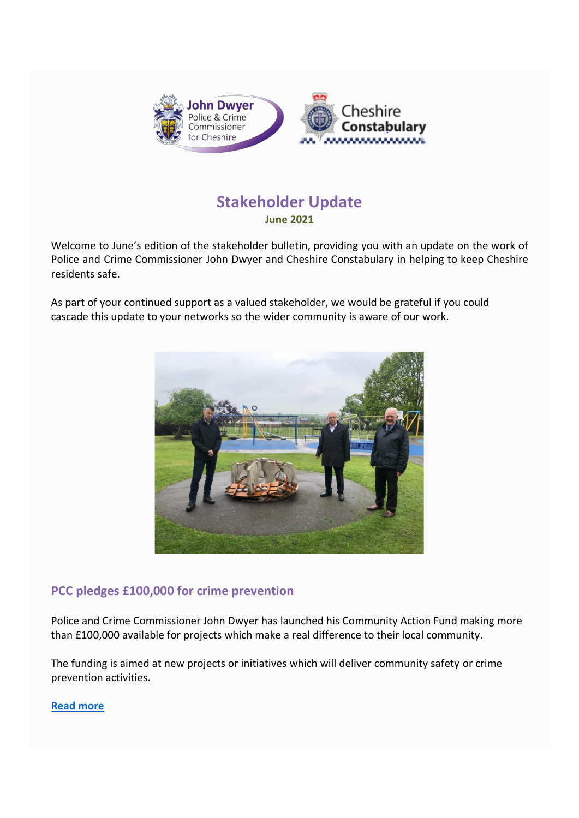

# **Stakeholder Update June 2021**

Welcome to June's edition of the stakeholder bulletin, providing you with an update on the work of Police and Crime Commissioner John Dwyer and Cheshire Constabulary in helping to keep Cheshire residents safe.

As part of your continued support as a valued stakeholder, we would be grateful if you could cascade this update to your networks so the wider community is aware of our work.



# **PCC pledges £100,000 for crime prevention**

Police and Crime Commissioner John Dwyer has launched his Community Action Fund making more than £100,000 available for projects which make a real difference to their local community.

The funding is aimed at new projects or initiatives which will deliver community safety or crime prevention activities.

**[Read more](https://www.cheshire-pcc.gov.uk/news/latest-news/2021/06/PCC-pledges-funds-for-crime-prevention/)**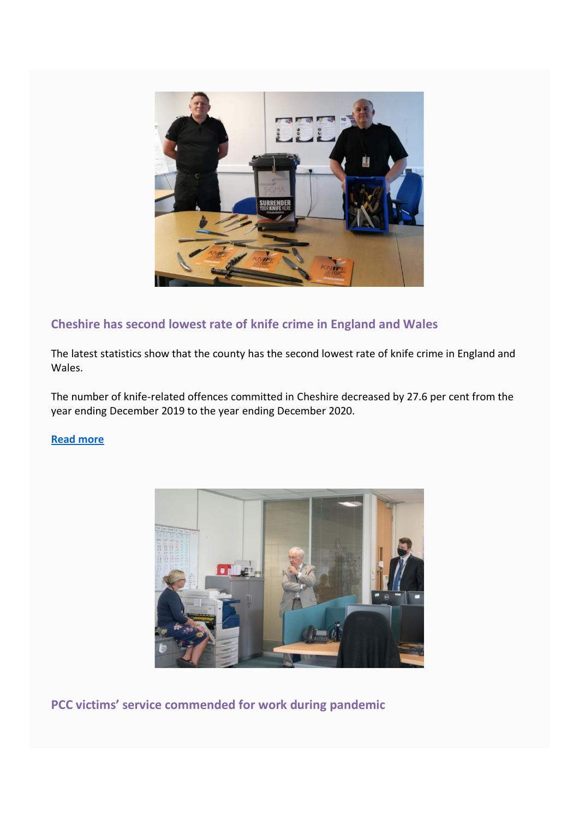

# **Cheshire has second lowest rate of knife crime in England and Wales**

The latest statistics show that the county has the second lowest rate of knife crime in England and Wales.

The number of knife-related offences committed in Cheshire decreased by 27.6 per cent from the year ending December 2019 to the year ending December 2020.

### **[Read more](https://www.cheshire.police.uk/news/cheshire/news/articles/2021/5/cheshire-has-second-lowest-rate-of-knife-crime-in-england-and-wales/)**



PCC victims' service commended for work during pandemic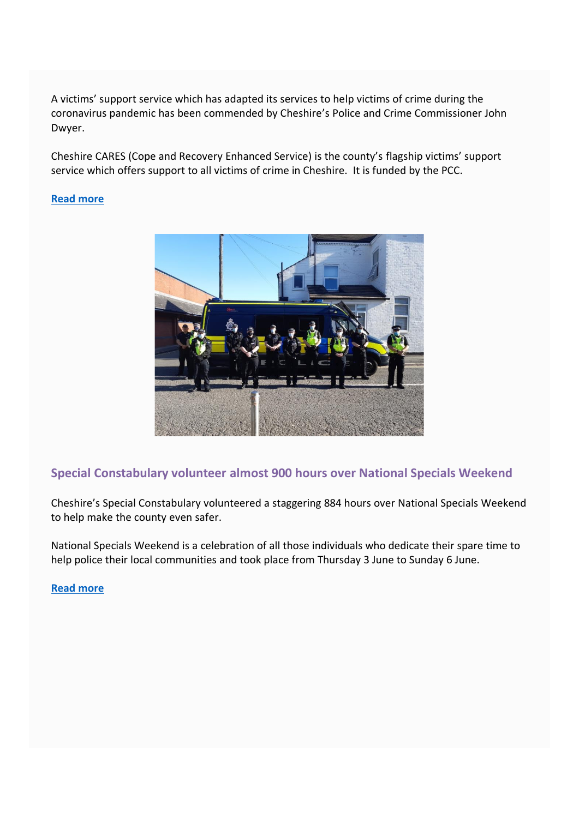A victims' support service which has adapted its services to help victims of crime during the coronavirus pandemic has been commended by Cheshire's Police and Crime Commissioner John Dwyer.

Cheshire CARES (Cope and Recovery Enhanced Service) is the county's flagship victims' support service which offers support to all victims of crime in Cheshire. It is funded by the PCC.

#### **[Read more](https://www.cheshire-pcc.gov.uk/news/latest-news/2021/06/victims-service-commended-for-work-during-pandemic/)**



### **Special Constabulary volunteer almost 900 hours over National Specials Weekend**

Cheshire's Special Constabulary volunteered a staggering 884 hours over National Specials Weekend to help make the county even safer.

National Specials Weekend is a celebration of all those individuals who dedicate their spare time to help police their local communities and took place from Thursday 3 June to Sunday 6 June.

#### **[Read more](https://www.cheshire.police.uk/news/cheshire/news/articles/2021/6/cheshires-special-constabulary-volunteer-884-hours-over-national-specials-weekend/)**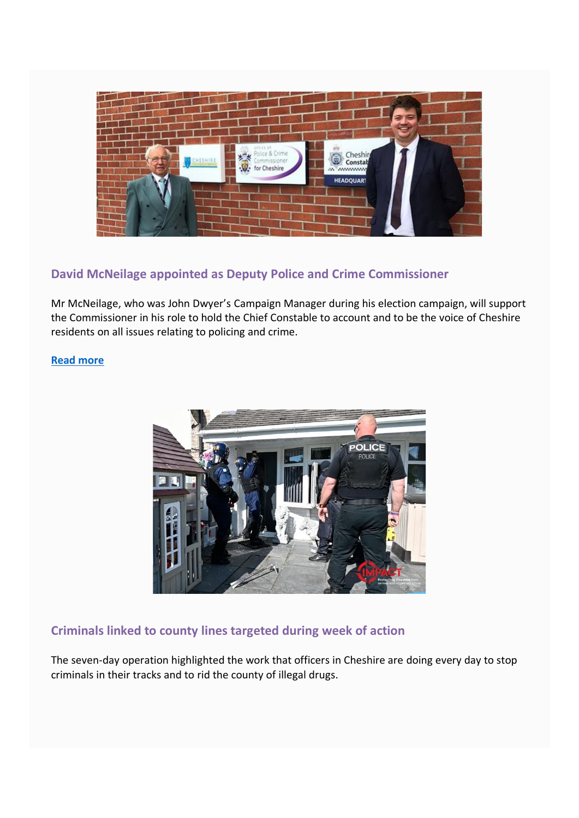

# **David McNeilage appointed as Deputy Police and Crime Commissioner**

Mr McNeilage, who was John Dwyer's Campaign Manager during his election campaign, will support the Commissioner in his role to hold the Chief Constable to account and to be the voice of Cheshire residents on all issues relating to policing and crime.

### **[Read more](https://www.cheshire-pcc.gov.uk/news/latest-news/2021/06/pcc-appoints-deputy/)**



# **Criminals linked to county lines targeted during week of action**

The seven-day operation highlighted the work that officers in Cheshire are doing every day to stop criminals in their tracks and to rid the county of illegal drugs.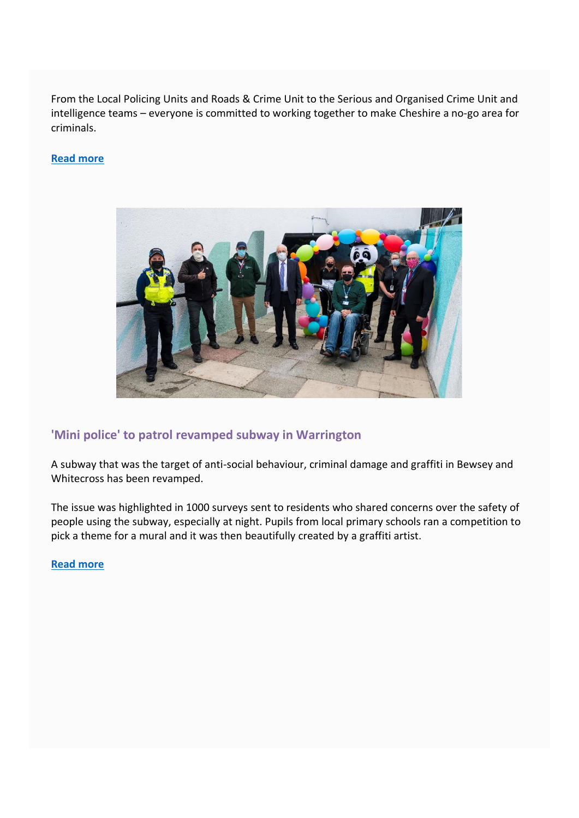From the Local Policing Units and Roads & Crime Unit to the Serious and Organised Crime Unit and intelligence teams - everyone is committed to working together to make Cheshire a no-go area for criminals.

### **[Read more](https://www.cheshire.police.uk/news/cheshire/news/articles/2021/5/criminals-targeted-in-county-lines-week-of-action/)**



### **'Mini police' to patrol revamped subway in Warrington**

A subway that was the target of anti-social behaviour, criminal damage and graffiti in Bewsey and Whitecross has been revamped.

The issue was highlighted in 1000 surveys sent to residents who shared concerns over the safety of people using the subway, especially at night. Pupils from local primary schools ran a competition to pick a theme for a mural and it was then beautifully created by a graffiti artist.

**[Read more](https://www.cheshire.police.uk/news/cheshire/news/articles/2021/6/mini-police-to-patrol-revamped-subway-in-bewsey-and-whitecross/)**